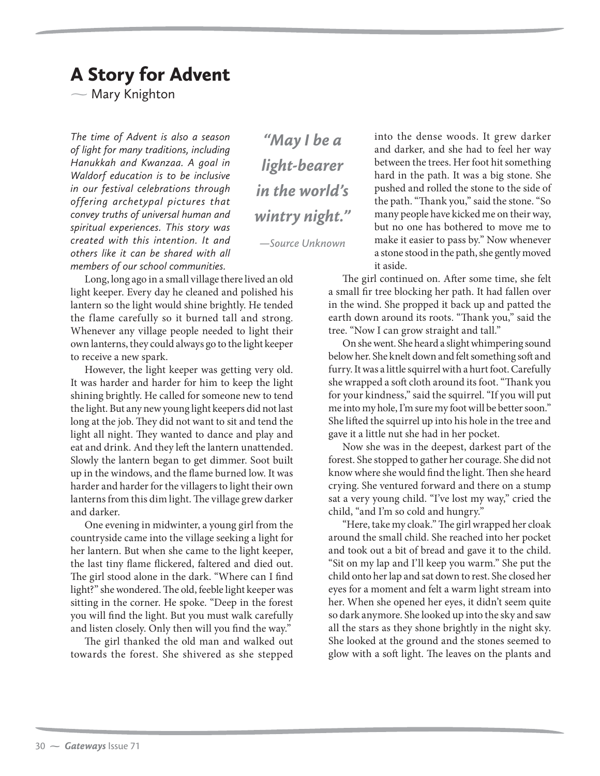## A Story for Advent  $\overline{\phantom{0}}$

 $\sim$   $\sim$ 

*The time of Advent is also a season of light for many traditions, including Hanukkah and Kwanzaa. A goal in Waldorf education is to be inclusive in our festival celebrations through offering archetypal pictures that convey truths of universal human and spiritual experiences. This story was created with this intention. It and others like it can be shared with all members of our school communities.*

*"May I be a light-bearer in the world's wintry night."*

—Source Unknown

Long, long ago in a small village there lived an old light keeper. Every day he cleaned and polished his lantern so the light would shine brightly. He tended the flame carefully so it burned tall and strong. Whenever any village people needed to light their own lanterns, they could always go to the light keeper to receive a new spark.

However, the light keeper was getting very old. It was harder and harder for him to keep the light shining brightly. He called for someone new to tend the light. But any new young light keepers did not last long at the job. They did not want to sit and tend the light all night. They wanted to dance and play and eat and drink. And they left the lantern unattended. Slowly the lantern began to get dimmer. Soot built up in the windows, and the flame burned low. It was harder and harder for the villagers to light their own lanterns from this dim light. The village grew darker and darker.

One evening in midwinter, a young girl from the countryside came into the village seeking a light for her lantern. But when she came to the light keeper, the last tiny flame flickered, faltered and died out. The girl stood alone in the dark. "Where can I find light?" she wondered. The old, feeble light keeper was sitting in the corner. He spoke. "Deep in the forest you will find the light. But you must walk carefully and listen closely. Only then will you find the way."

The girl thanked the old man and walked out towards the forest. She shivered as she stepped into the dense woods. It grew darker and darker, and she had to feel her way between the trees. Her foot hit something hard in the path. It was a big stone. She pushed and rolled the stone to the side of the path. "Thank you," said the stone. "So many people have kicked me on their way, but no one has bothered to move me to make it easier to pass by." Now whenever a stone stood in the path, she gently moved it aside.

The girl continued on. After some time, she felt a small fir tree blocking her path. It had fallen over in the wind. She propped it back up and patted the earth down around its roots. "Thank you," said the tree. "Now I can grow straight and tall."

On she went. She heard a slight whimpering sound below her. She knelt down and felt something soft and furry. It was a little squirrel with a hurt foot. Carefully she wrapped a soft cloth around its foot. "Thank you for your kindness," said the squirrel. "If you will put me into my hole, I'm sure my foot will be better soon." She lifted the squirrel up into his hole in the tree and gave it a little nut she had in her pocket.

Now she was in the deepest, darkest part of the forest. She stopped to gather her courage. She did not know where she would find the light. Then she heard crying. She ventured forward and there on a stump sat a very young child. "I've lost my way," cried the child, "and I'm so cold and hungry."

"Here, take my cloak." The girl wrapped her cloak around the small child. She reached into her pocket and took out a bit of bread and gave it to the child. "Sit on my lap and I'll keep you warm." She put the child onto her lap and sat down to rest. She closed her eyes for a moment and felt a warm light stream into her. When she opened her eyes, it didn't seem quite so dark anymore. She looked up into the sky and saw all the stars as they shone brightly in the night sky. She looked at the ground and the stones seemed to glow with a soft light. The leaves on the plants and